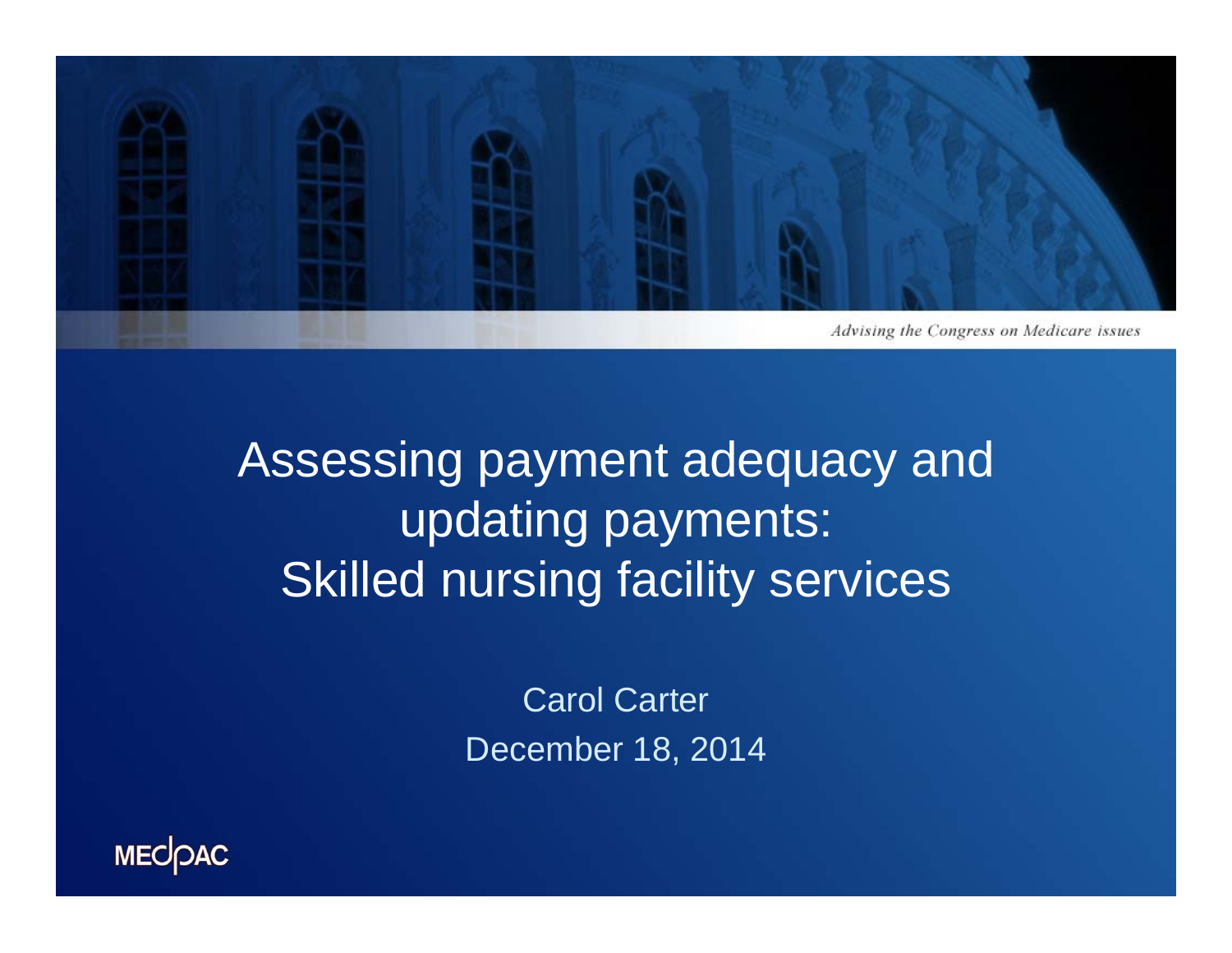

Assessing payment adequacy and updating payments: Skilled nursing facility services

> Carol Carter December 18, 2014

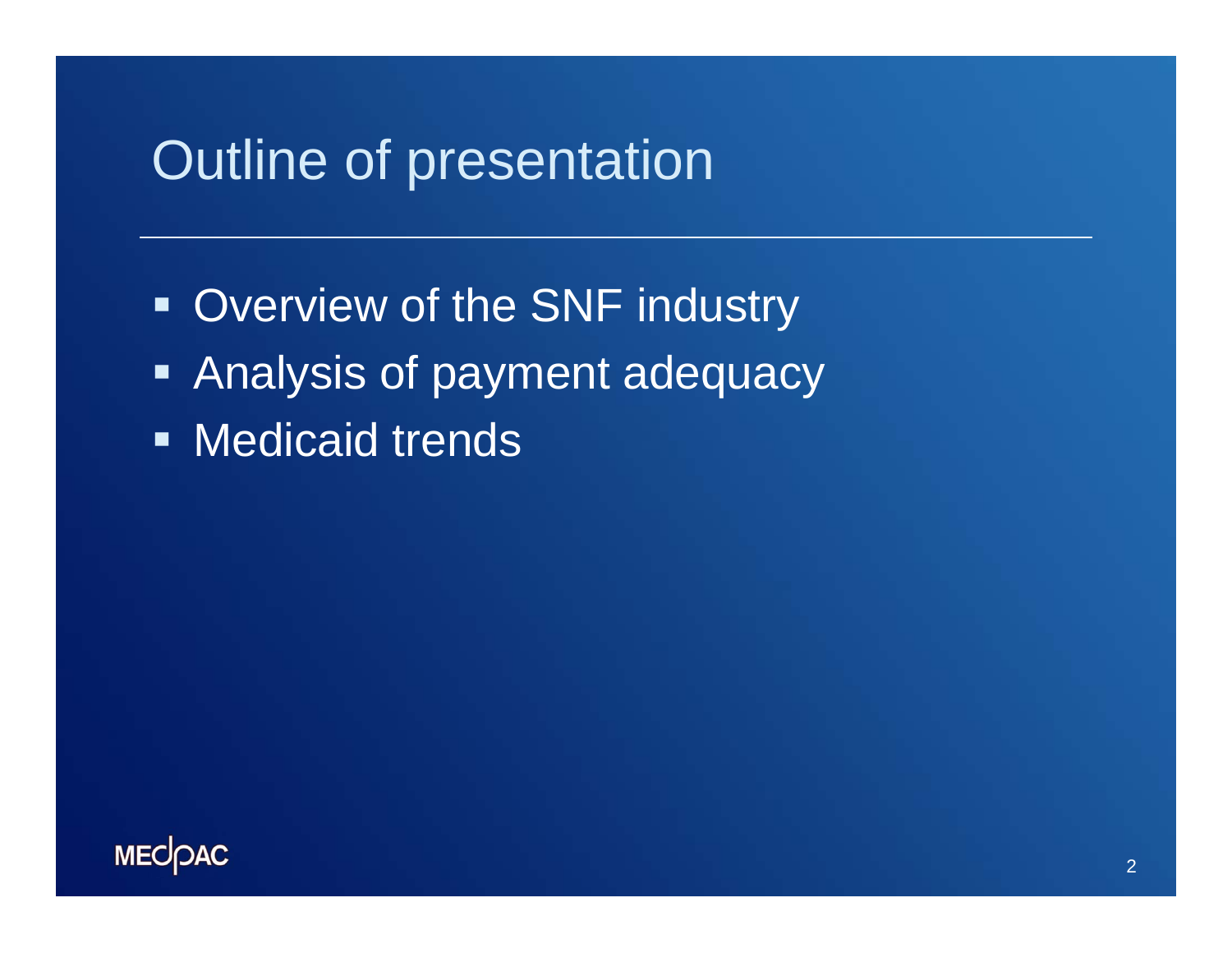### Outline of presentation

**- Overview of the SNF industry**  Analysis of payment adequacy **Nedicaid trends** 

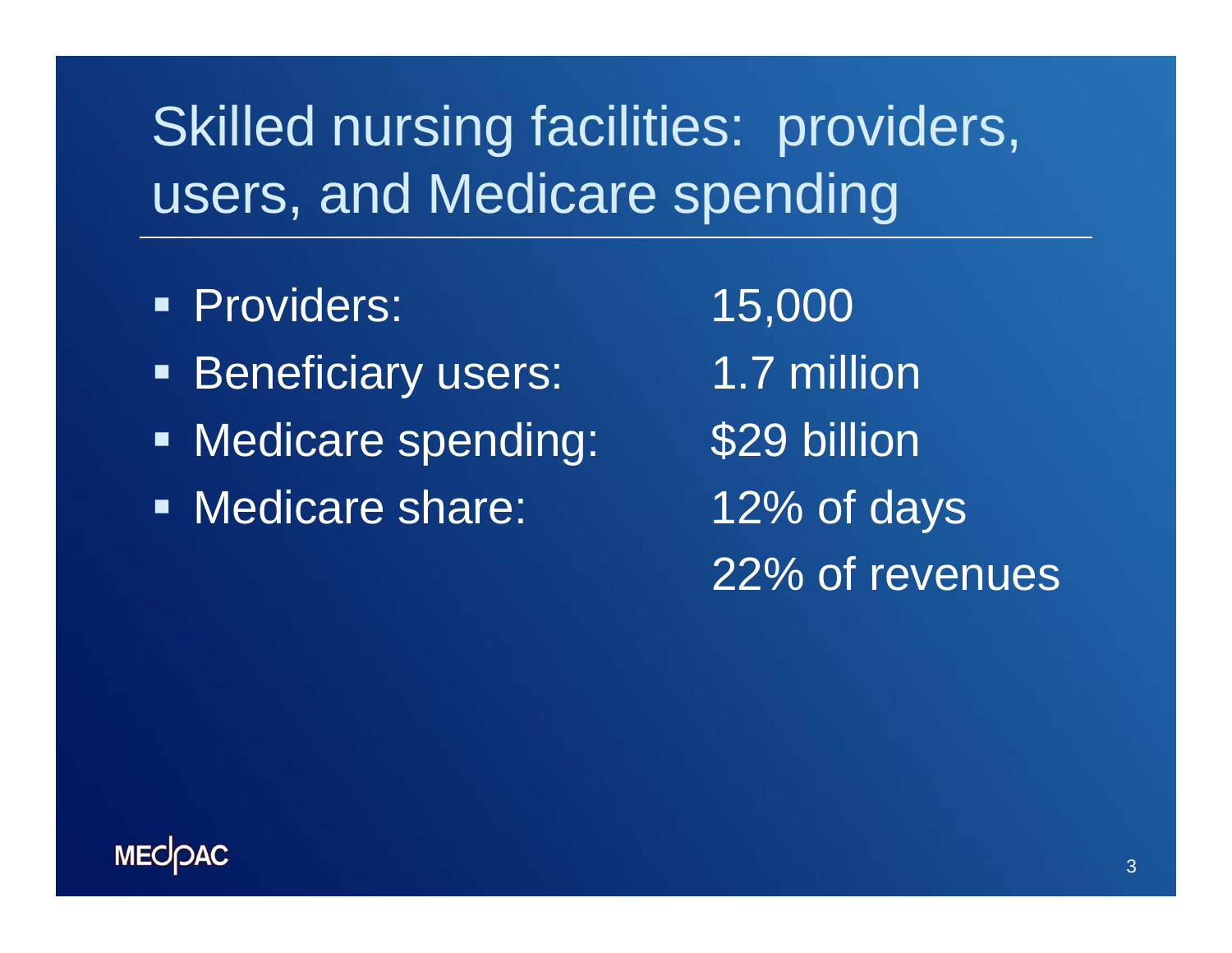## Skilled nursing facilities: providers, users, and Medicare spending

- Providers: 15,000
- **Beneficiary users:** 1.7 million
- **Nedicare spending: \$29 billion**
- Medicare share: 12% of days

22% of revenues

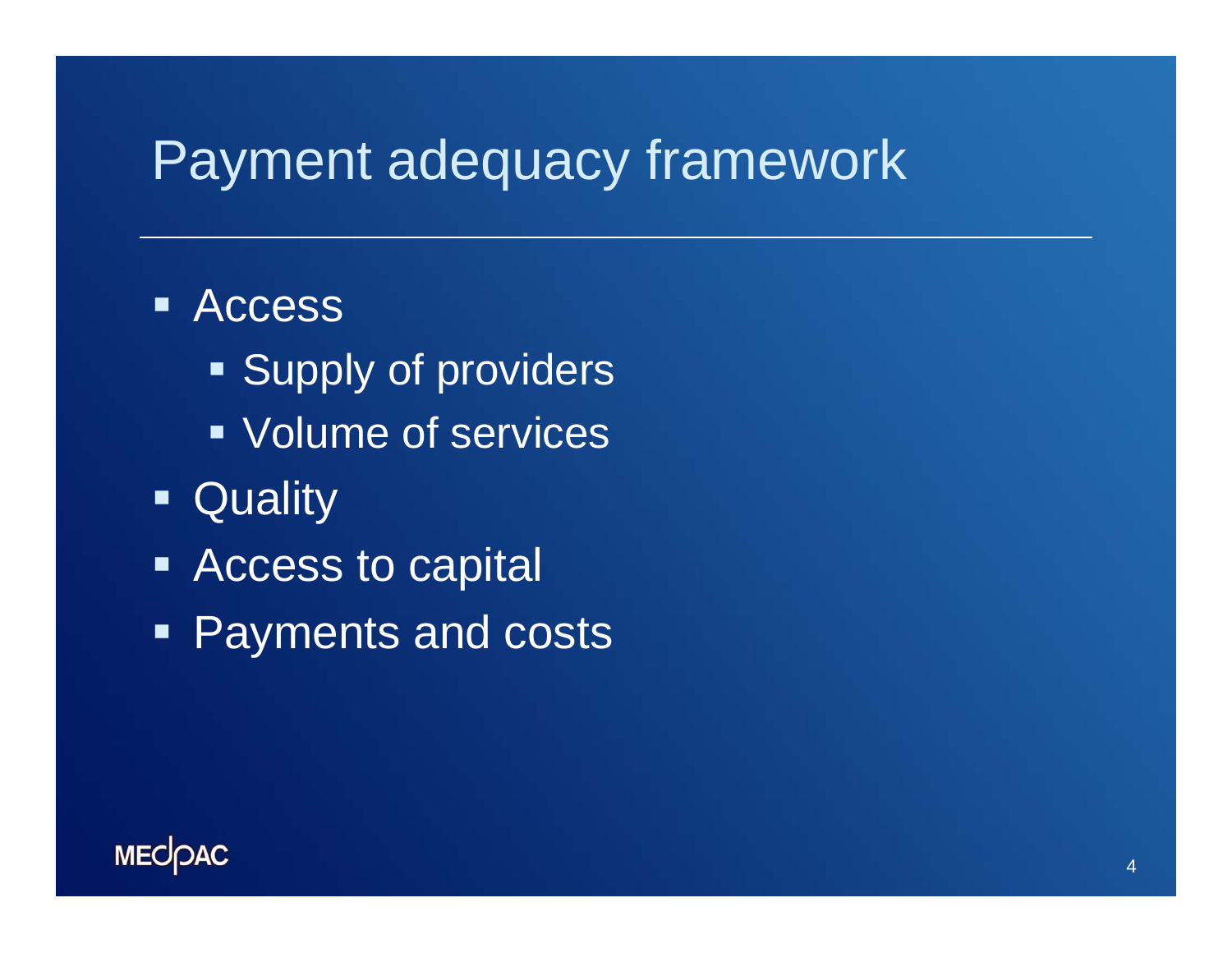### Payment adequacy framework

#### **Access**

- **Supply of providers**
- Volume of services
- **Quality**
- **EXECCESS to capital**
- Payments and costs

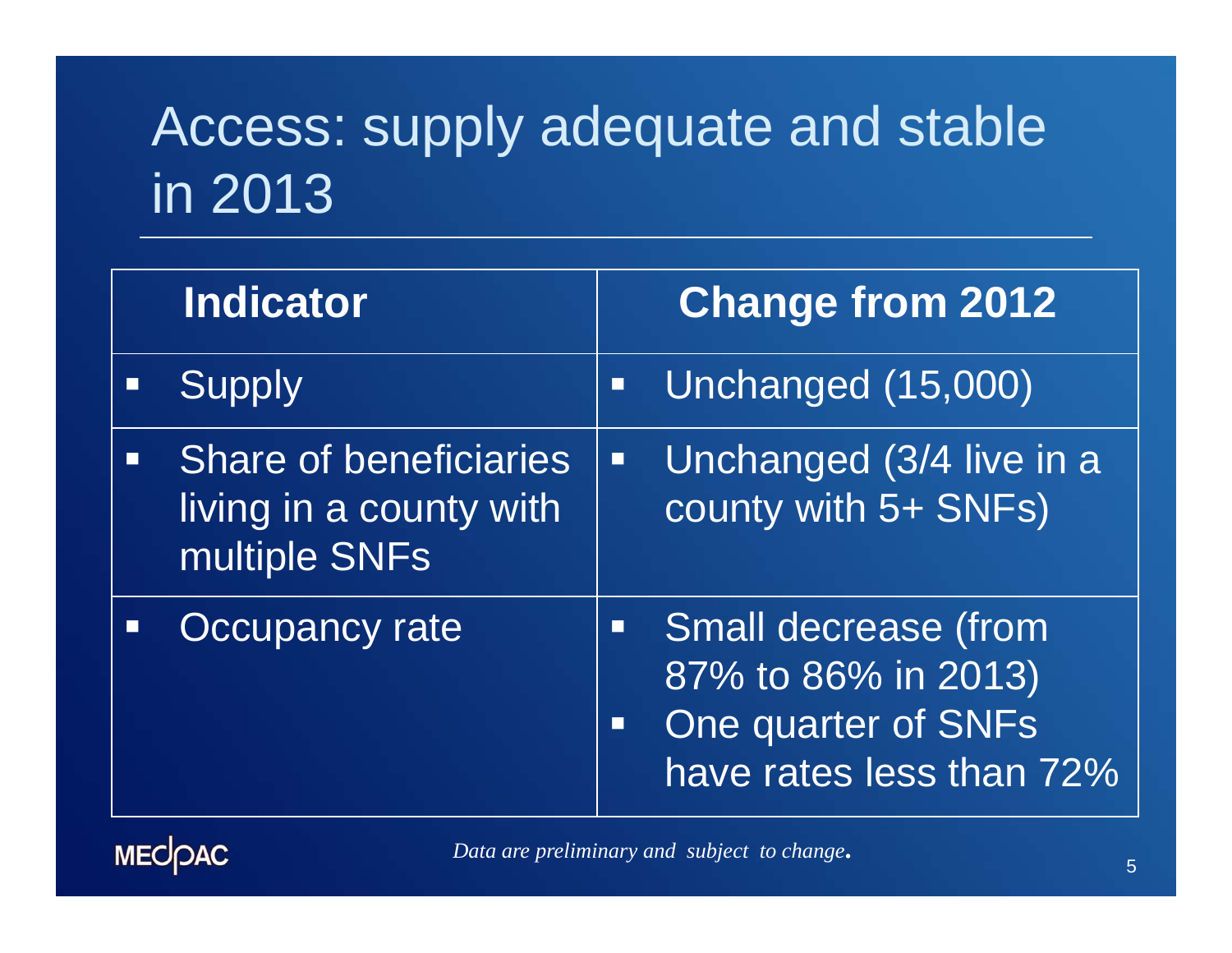## Access: supply adequate and stable in 2013

| <b>Indicator</b>                                                          |                | <b>Change from 2012</b>                                                                               |
|---------------------------------------------------------------------------|----------------|-------------------------------------------------------------------------------------------------------|
| <b>Supply</b>                                                             | $\Box$         | Unchanged (15,000)                                                                                    |
| <b>Share of beneficiaries</b><br>living in a county with<br>multiple SNFs | $\Box$         | Unchanged (3/4 live in a<br>county with 5+ SNFs)                                                      |
| <b>Occupancy rate</b>                                                     | $\blacksquare$ | <b>Small decrease (from</b><br>87% to 86% in 2013)<br>One quarter of SNFs<br>have rates less than 72% |

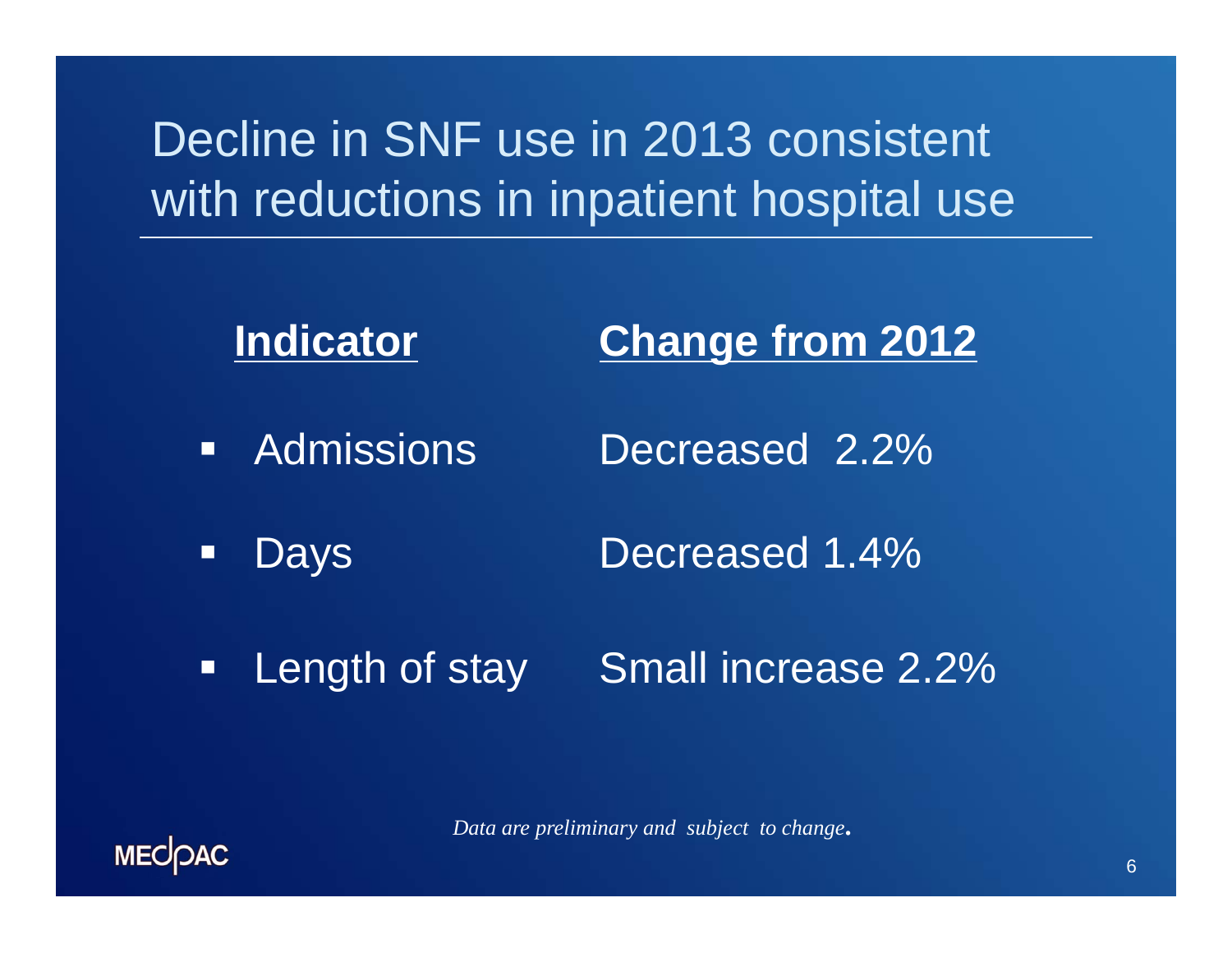### Decline in SNF use in 2013 consistent with reductions in inpatient hospital use



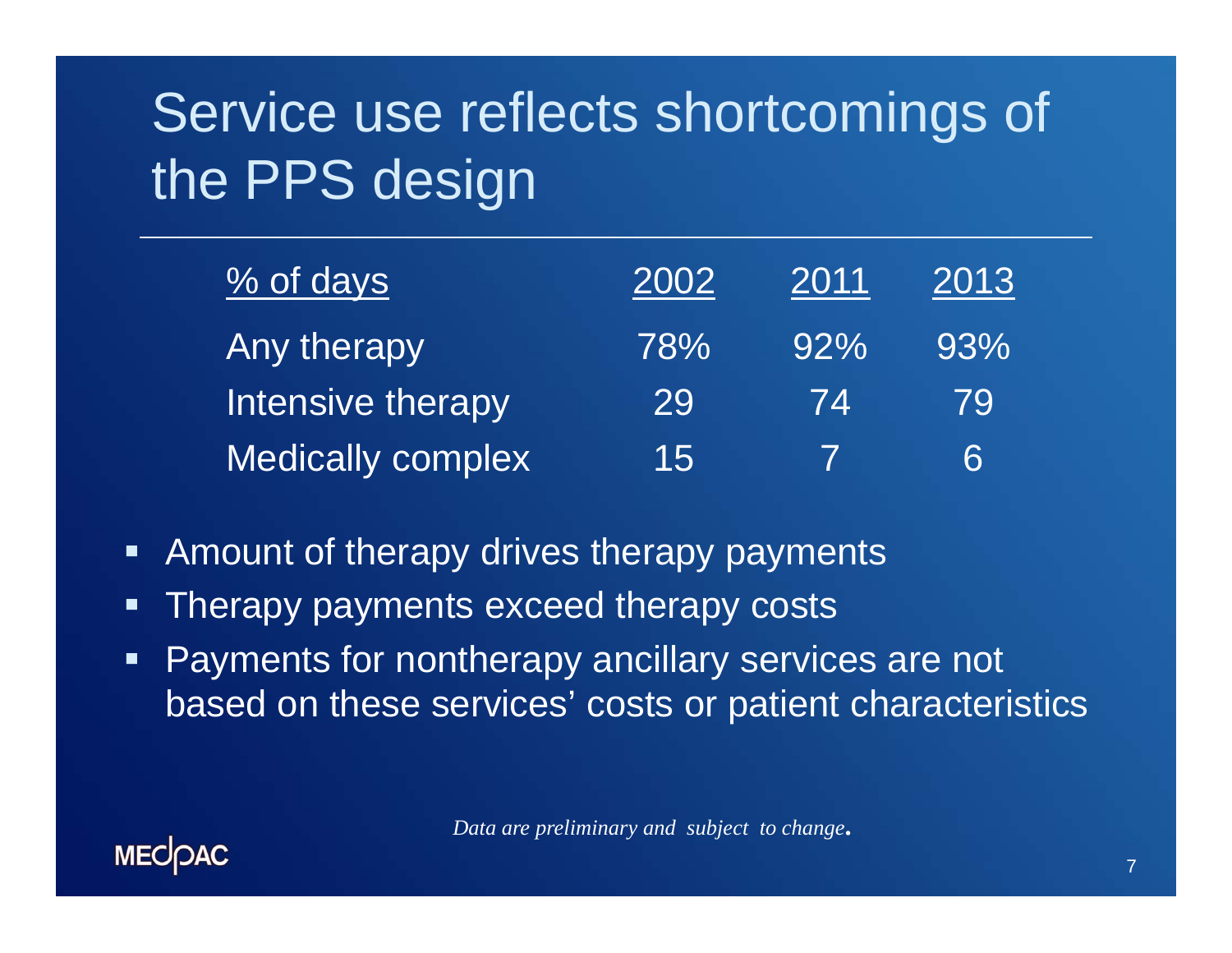# Service use reflects shortcomings of the PPS design

| % of days                | 2002 | 2011   | 2013 |
|--------------------------|------|--------|------|
| Any therapy              | 78%  | $92\%$ | 93%  |
| Intensive therapy        | 29   | 74     | 79   |
| <b>Medically complex</b> | 15.  |        | 6    |

- Amount of therapy drives therapy payments
- π Therapy payments exceed therapy costs
- $\blacksquare$  Payments for nontherapy ancillary services are not based on these services' costs or patient characteristics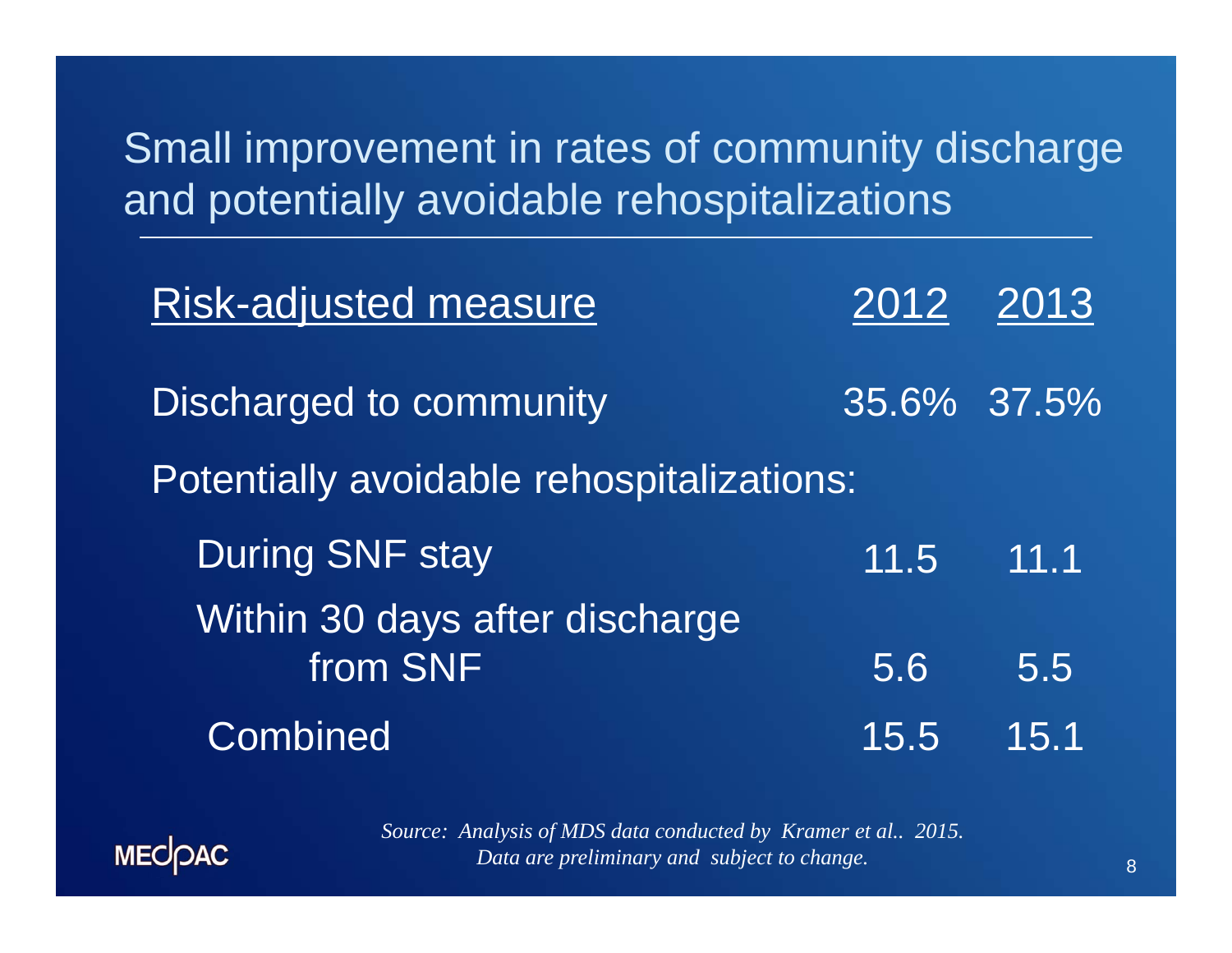Small improvement in rates of community discharge and potentially avoidable rehospitalizations

| <b>Risk-adjusted measure</b>               |             | 2012 2013   |
|--------------------------------------------|-------------|-------------|
| Discharged to community                    |             | 35.6% 37.5% |
| Potentially avoidable rehospitalizations:  |             |             |
| <b>During SNF stay</b>                     | $11.5$ 11.1 |             |
| Within 30 days after discharge<br>from SNF |             |             |
|                                            | 5.6         | 5.5         |
| <b>Combined</b>                            | 15.5        | 15.1        |



*Source: Analysis of MDS data conducted by Kramer et al.. 2015. Data are preliminary and subject to change.*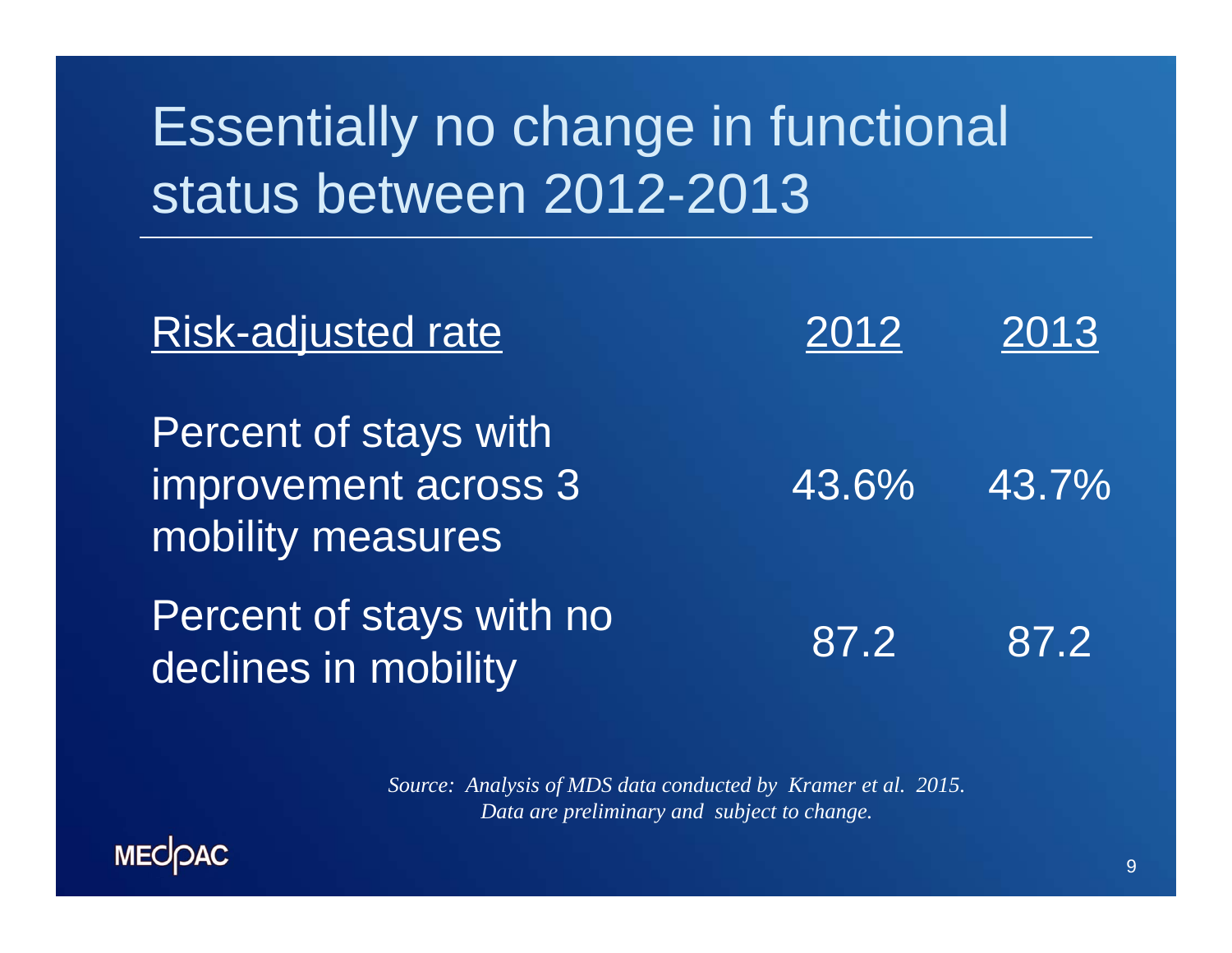## Essentially no change in functional status between 2012-2013

| <b>Risk-adjusted rate</b>                                          | 2012  | 2013  |
|--------------------------------------------------------------------|-------|-------|
| Percent of stays with<br>improvement across 3<br>mobility measures | 43.6% | 43.7% |
| Percent of stays with no<br>declines in mobility                   | 87.2  | 87.2  |

*Source: Analysis of MDS data conducted by Kramer et al. 2015. Data are preliminary and subject to change.*

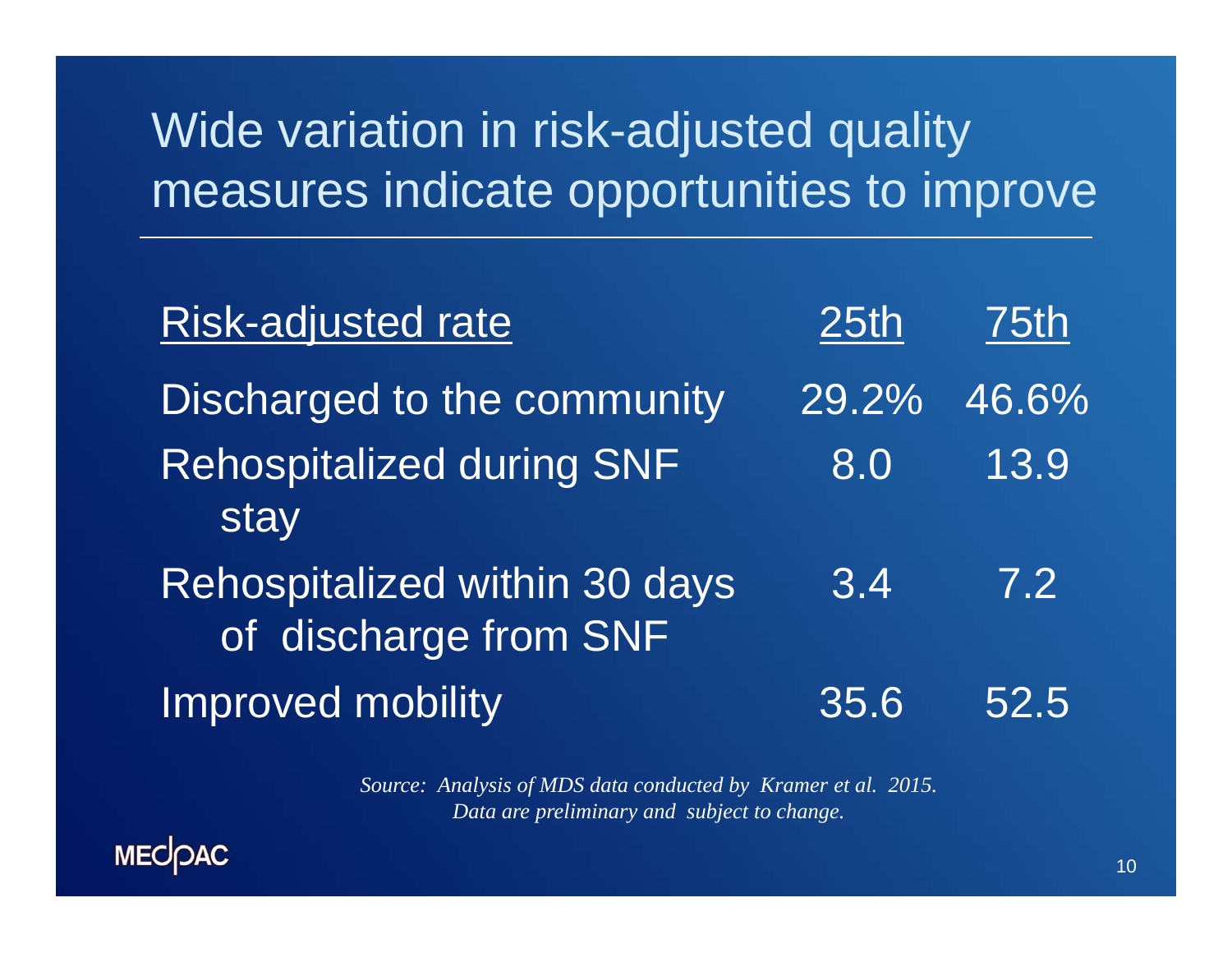### Wide variation in risk-adjusted quality measures indicate opportunities to improve

| <b>Risk-adjusted rate</b>                              | 25th  | <b>75th</b>      |
|--------------------------------------------------------|-------|------------------|
| Discharged to the community                            | 29.2% | 46.6%            |
| <b>Rehospitalized during SNF</b><br>stay               | 8.0   | 13.9             |
| Rehospitalized within 30 days<br>of discharge from SNF | 3.4   | $\overline{7}.2$ |
| Improved mobility                                      | 35.6  | 52.5             |

*Source: Analysis of MDS data conducted by Kramer et al. 2015. Data are preliminary and subject to change.*

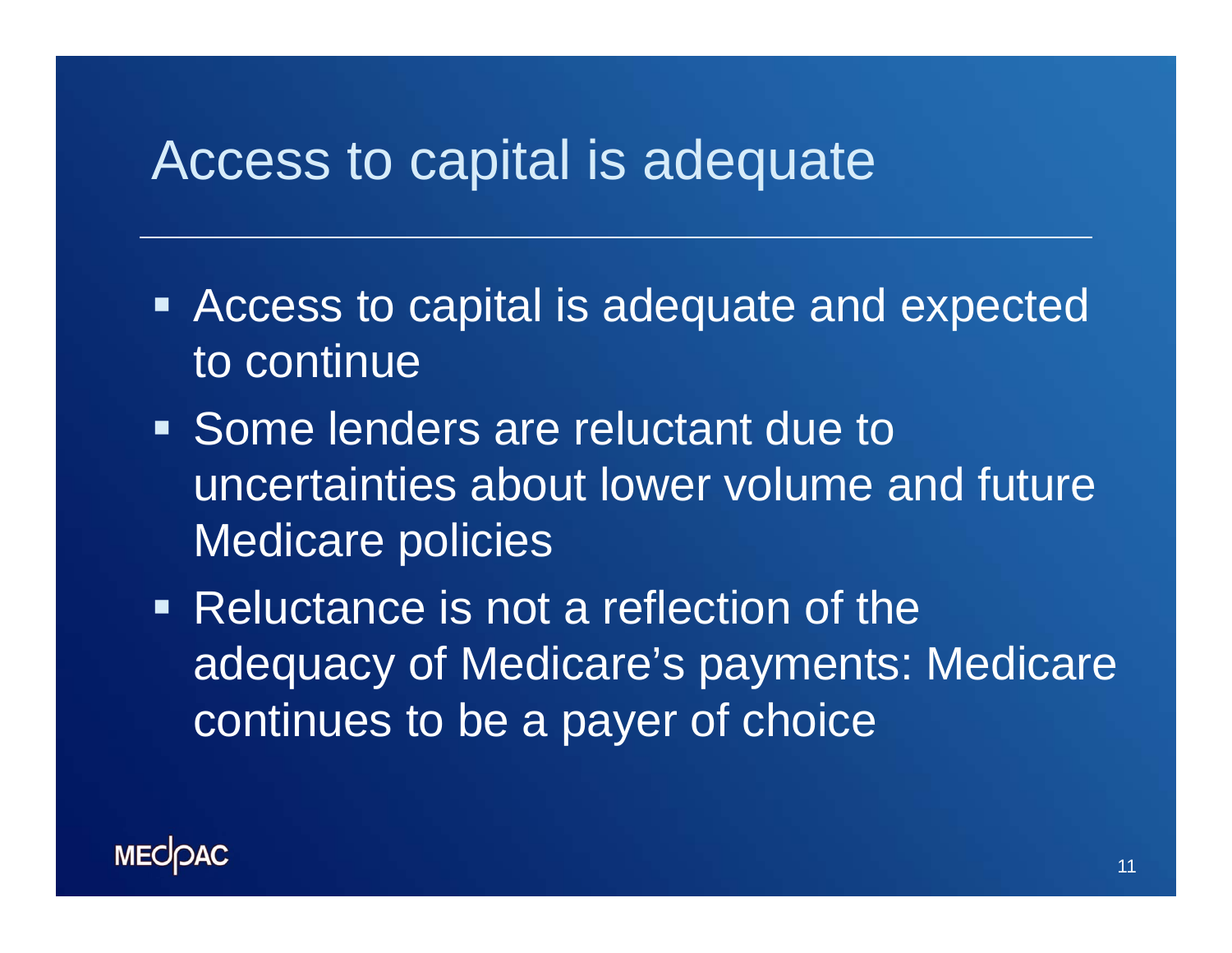### Access to capital is adequate

- **EXPERE Access to capital is adequate and expected** to continue
- **Some lenders are reluctant due to** uncertainties about lower volume and future Medicare policies
- Reluctance is not a reflection of the adequacy of Medicare's payments: Medicare continues to be a payer of choice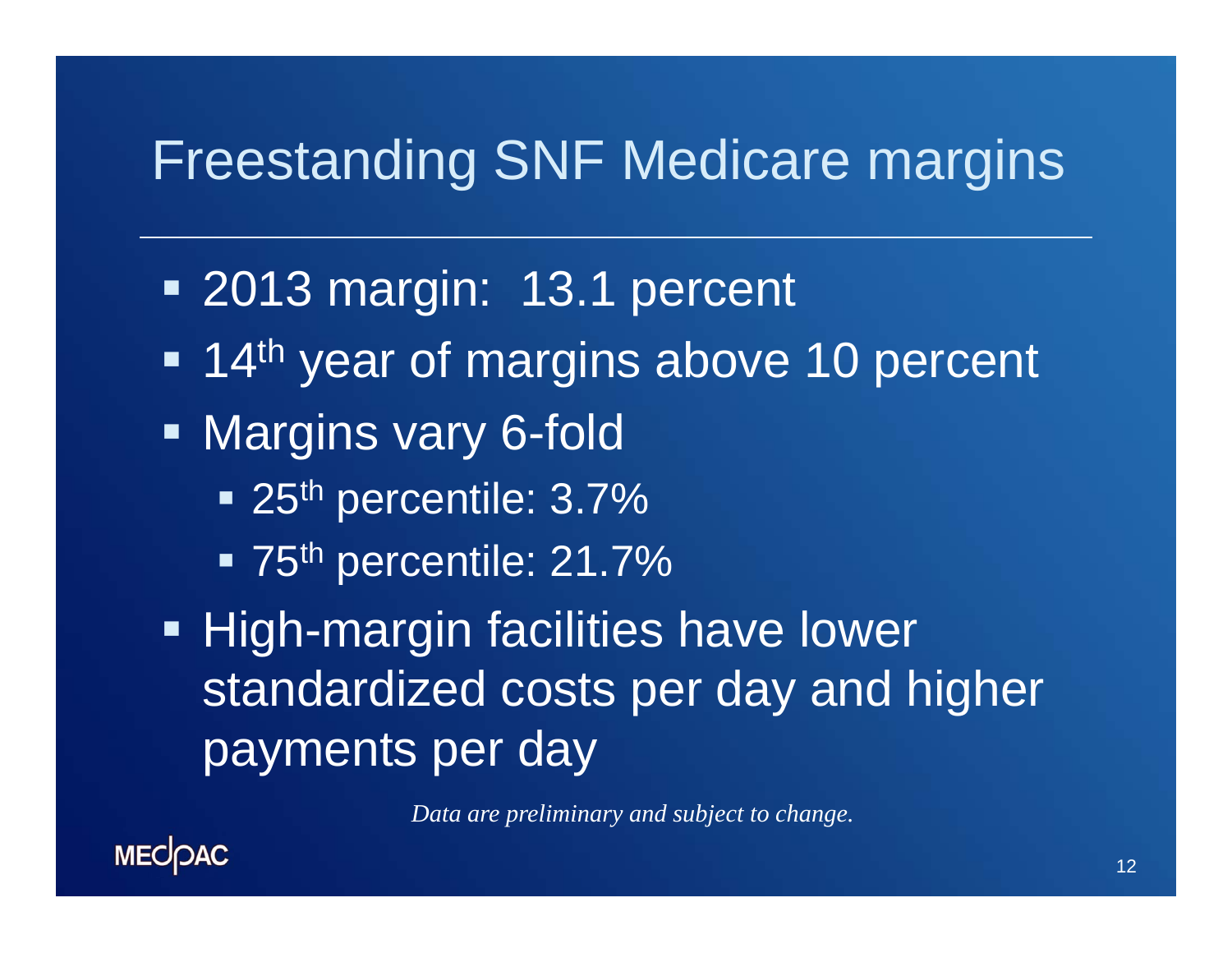### Freestanding SNF Medicare margins

- 2013 margin: 13.1 percent
- Ξ **14<sup>th</sup> year of margins above 10 percent**
- **Margins vary 6-fold** 
	- 25<sup>th</sup> percentile: 3.7%
	- 75<sup>th</sup> percentile: 21.7%

**- High-margin facilities have lower** standardized costs per day and higher payments per day

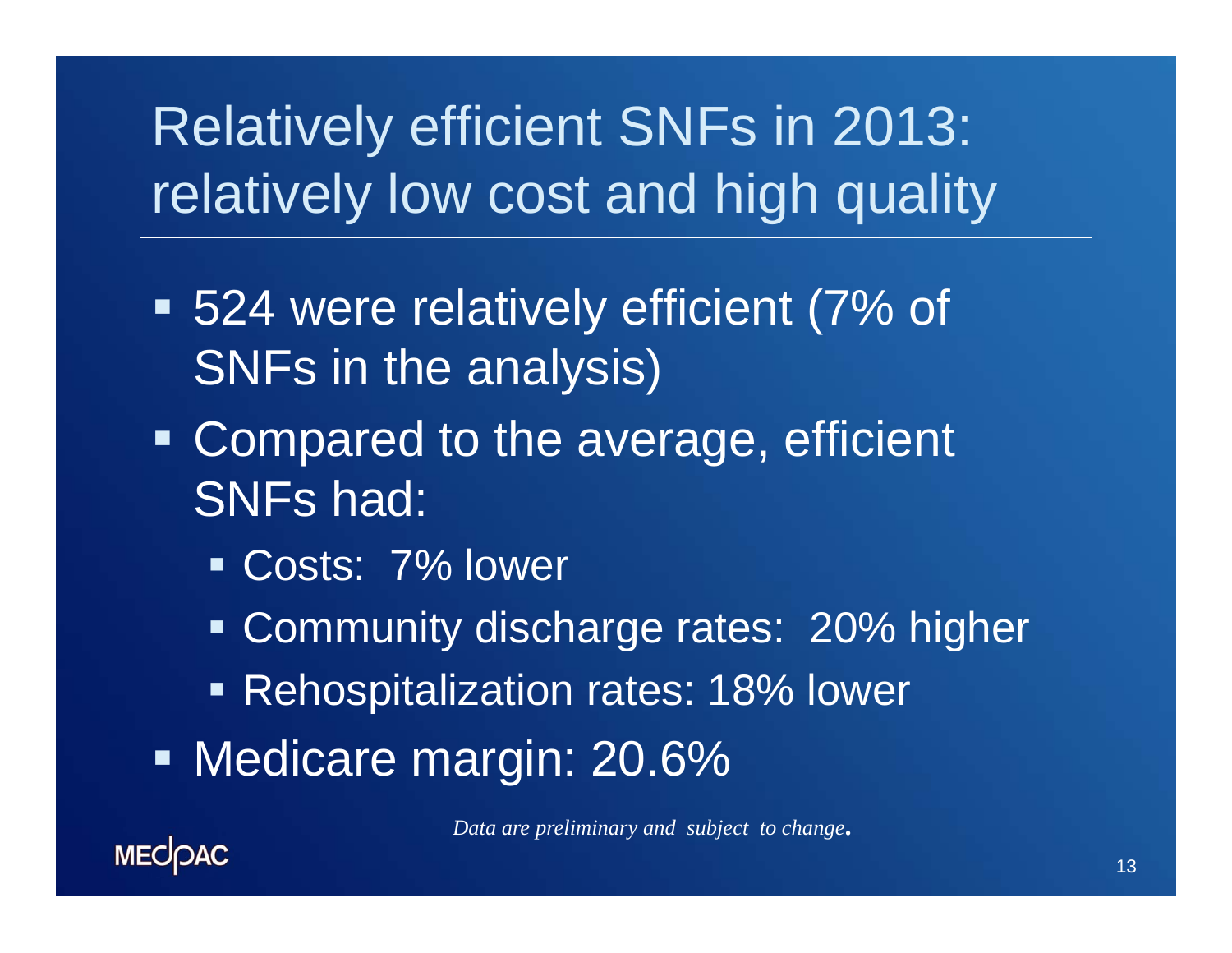## Relatively efficient SNFs in 2013: relatively low cost and high quality

- 524 were relatively efficient (7% of SNFs in the analysis)
- **Compared to the average, efficient** SNFs had:
	- Costs: 7% lower
	- **Community discharge rates: 20% higher**
	- Rehospitalization rates: 18% lower
- Medicare margin: 20.6%

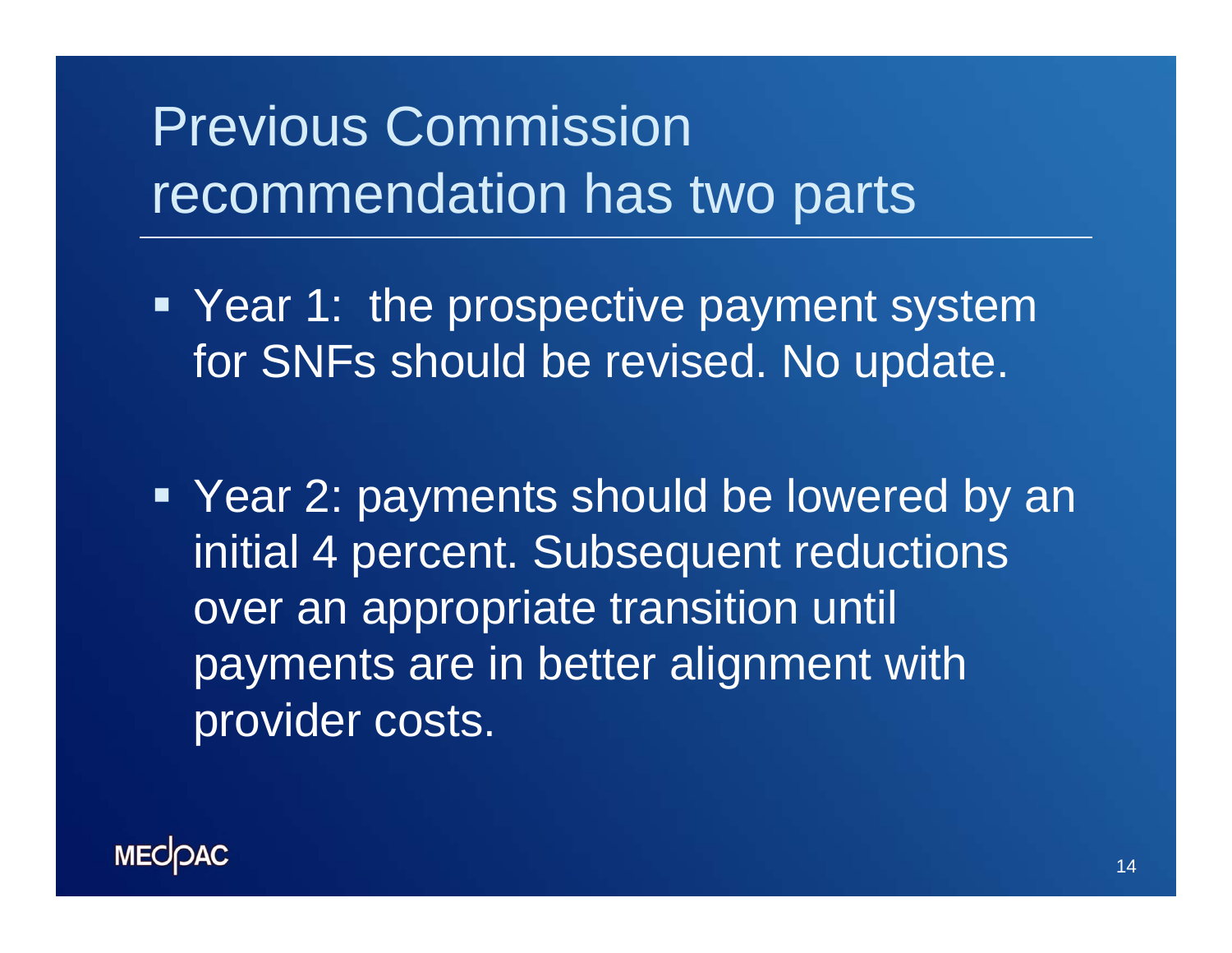## Previous Commission recommendation has two parts

**• Year 1: the prospective payment system** for SNFs should be revised. No update.

 Year 2: payments should be lowered by an initial 4 percent. Subsequent reductions over an appropriate transition until payments are in better alignment with provider costs.

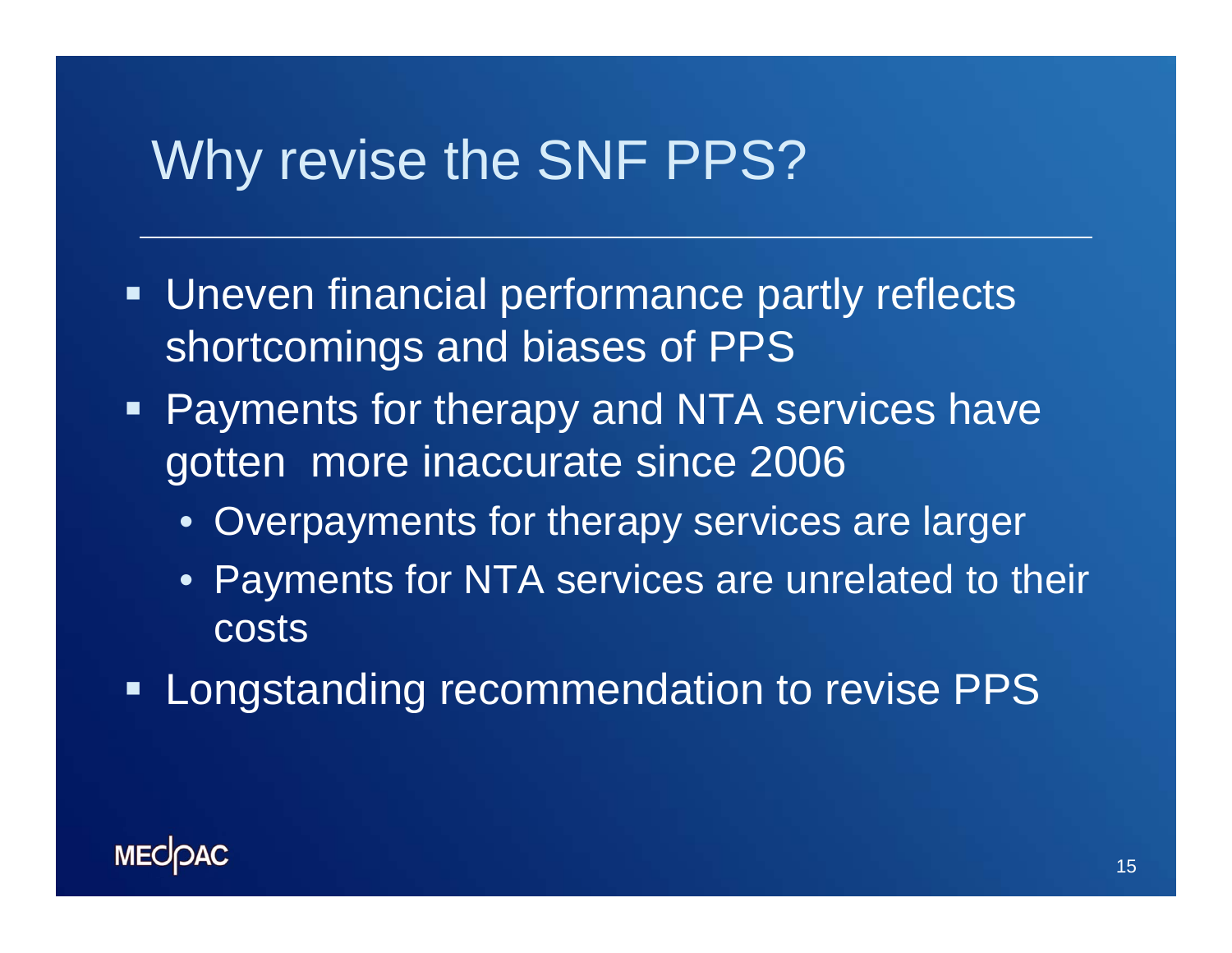### Why revise the SNF PPS?

- **Uneven financial performance partly reflects** shortcomings and biases of PPS
- **Payments for therapy and NTA services have** gotten more inaccurate since 2006
	- Overpayments for therapy services are larger
	- Payments for NTA services are unrelated to their **costs**
- **Longstanding recommendation to revise PPS**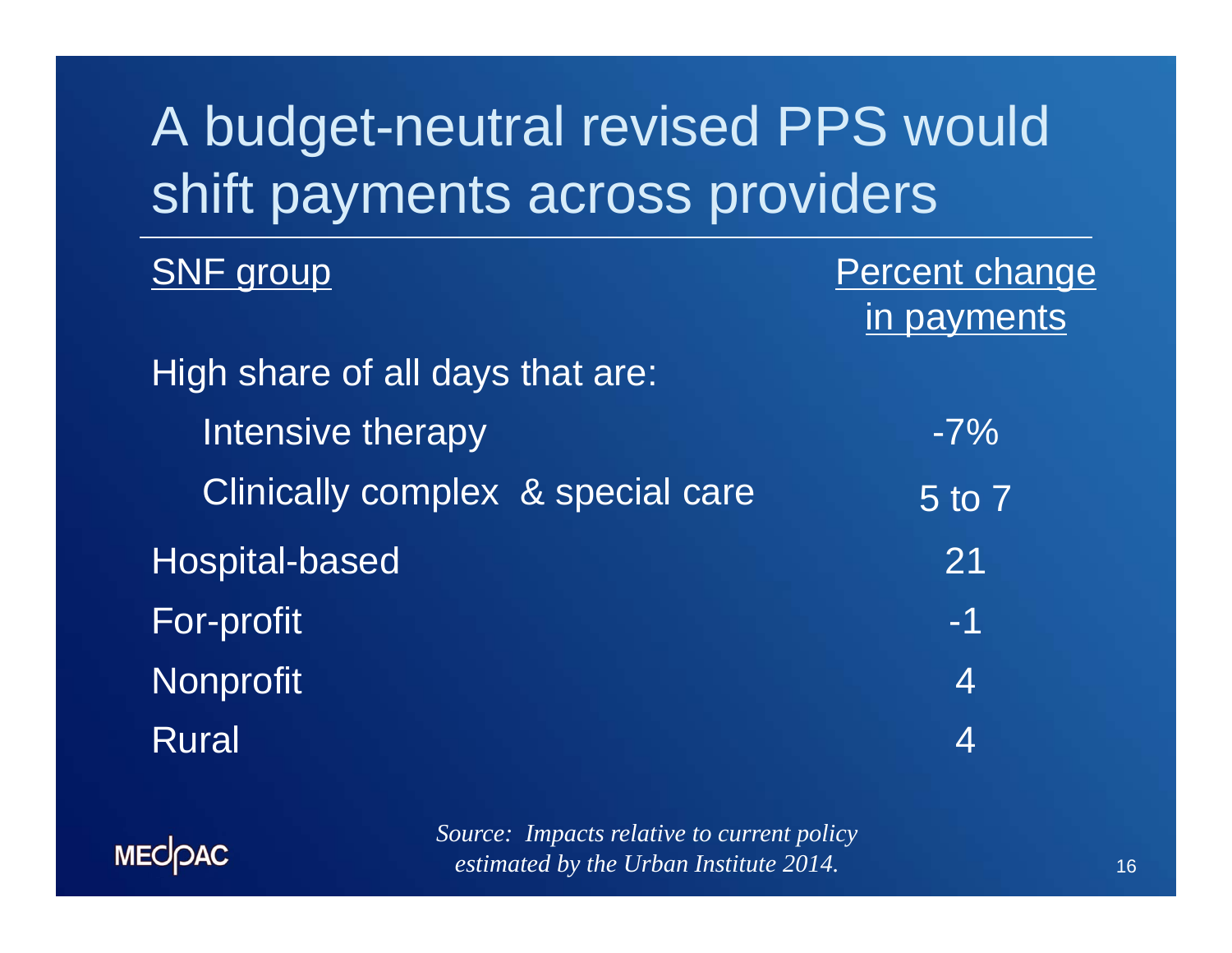## A budget-neutral revised PPS would shift payments across providers

| <b>SNF</b> group                  | Percent change |
|-----------------------------------|----------------|
|                                   | in payments    |
| High share of all days that are:  |                |
| Intensive therapy                 | $-7%$          |
| Clinically complex & special care | 5 to 7         |
| <b>Hospital-based</b>             | 21             |
| For-profit                        | $-1$           |
| <b>Nonprofit</b>                  | $\overline{4}$ |
| <b>Rural</b>                      | 4              |

MECOAC

*Source: Impacts relative to current policy estimated by the Urban Institute 2014.*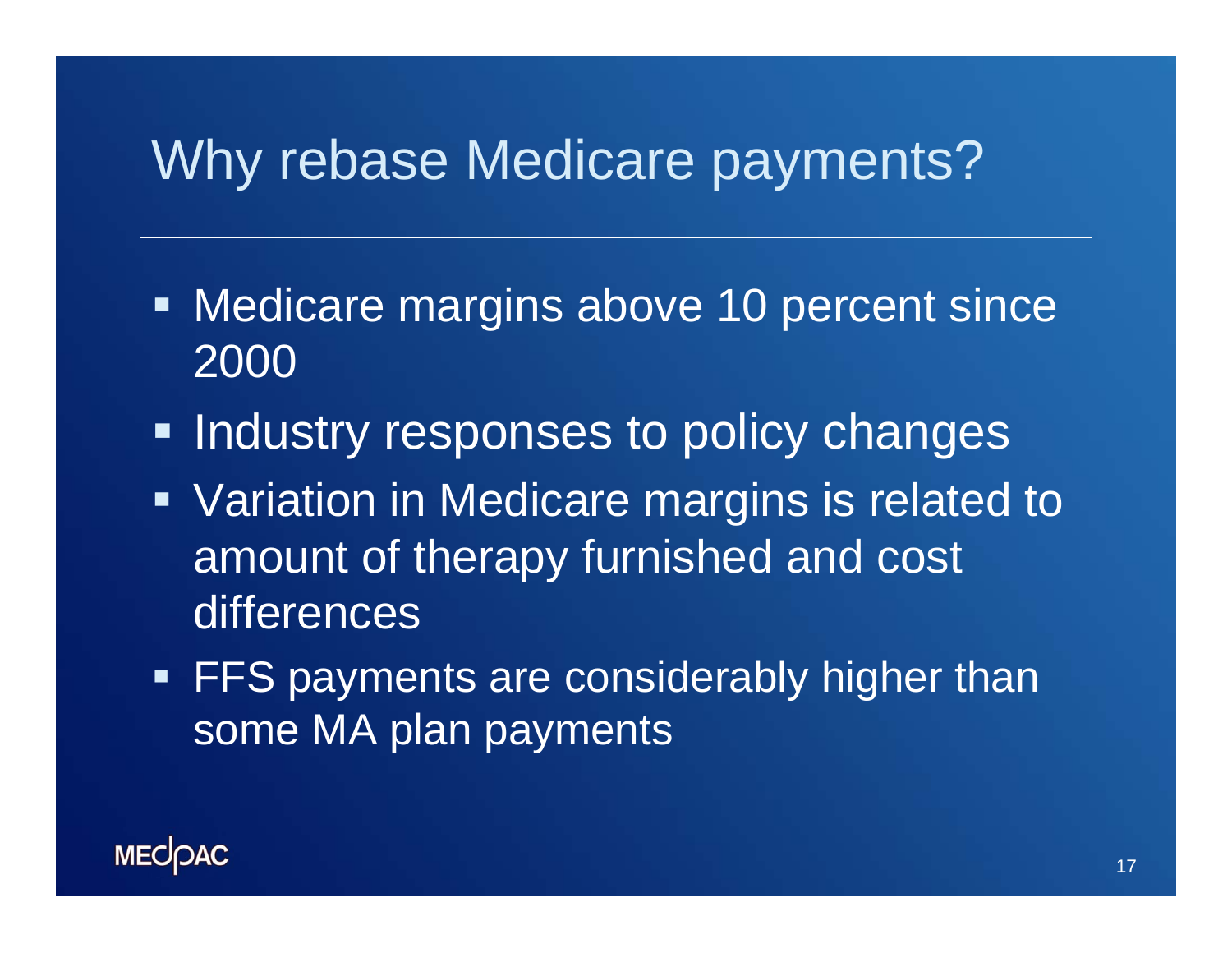### Why rebase Medicare payments?

- **Medicare margins above 10 percent since** 2000
- **Industry responses to policy changes**
- **Variation in Medicare margins is related to** amount of therapy furnished and cost differences
- **FFS payments are considerably higher than** some MA plan payments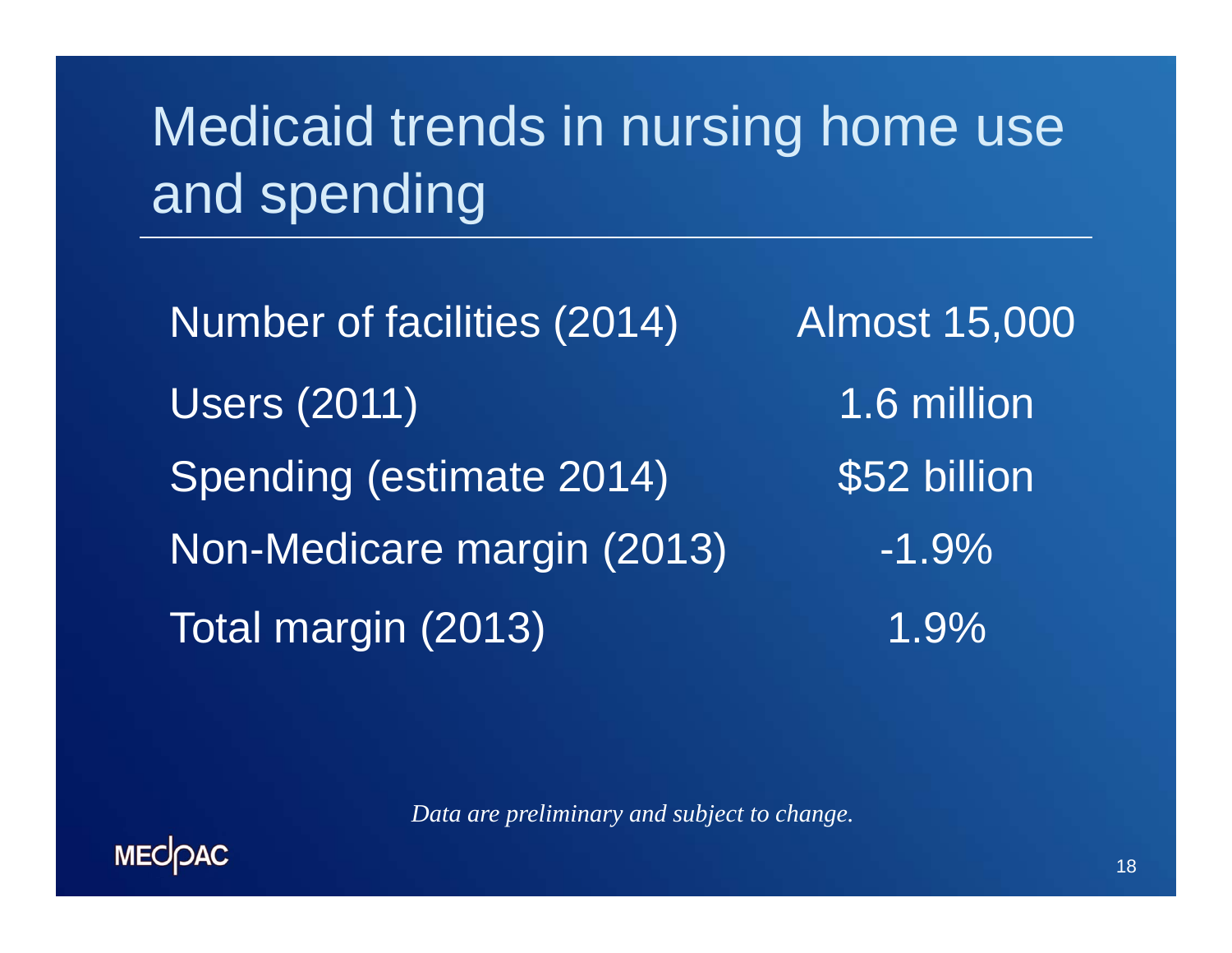## Medicaid trends in nursing home use and spending

Number of facilities (2014) Almost 15,000 Users (2011) 1.6 million Spending (estimate 2014) \$52 billion Non-Medicare margin (2013) -1.9% Total margin (2013) 1.9%